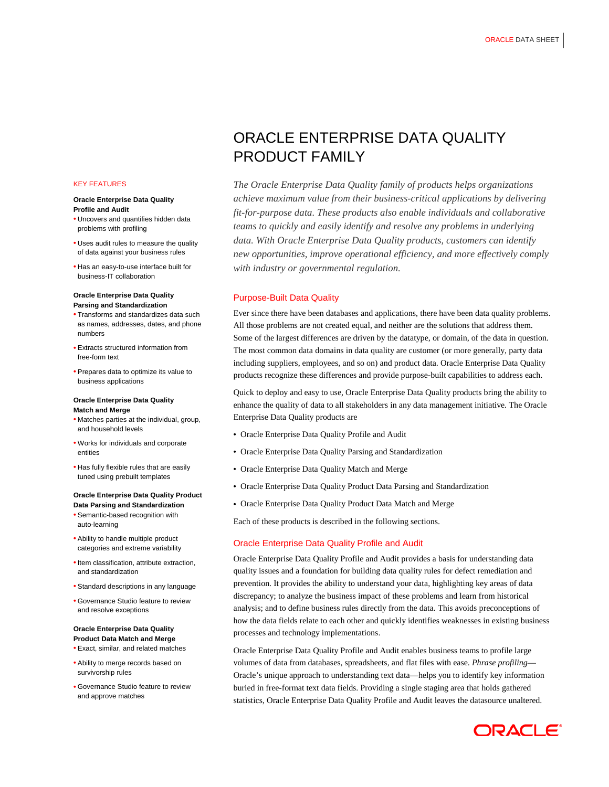#### KEY FEATURES

#### **Oracle Enterprise Data Quality Profile and Audit**

- Uncovers and quantifies hidden data problems with profiling
- Uses audit rules to measure the quality of data against your business rules
- Has an easy-to-use interface built for business-IT collaboration

## **Oracle Enterprise Data Quality Parsing and Standardization**

- Transforms and standardizes data such as names, addresses, dates, and phone numbers
- Extracts structured information from free-form text
- Prepares data to optimize its value to business applications

## **Oracle Enterprise Data Quality Match and Merge**

- Matches parties at the individual, group, and household levels
- Works for individuals and corporate entities
- Has fully flexible rules that are easily tuned using prebuilt templates

#### **Oracle Enterprise Data Quality Product Data Parsing and Standardization**

- Semantic-based recognition with auto-learning
- Ability to handle multiple product categories and extreme variability
- Item classification, attribute extraction and standardization
- Standard descriptions in any language
- Governance Studio feature to review and resolve exceptions

## **Oracle Enterprise Data Quality Product Data Match and Merge**

- Exact, similar, and related matches
- Ability to merge records based on survivorship rules
- Governance Studio feature to review and approve matches

# ORACLE ENTERPRISE DATA QUALITY PRODUCT FAMILY

*The Oracle Enterprise Data Quality family of products helps organizations achieve maximum value from their business-critical applications by delivering fit-for-purpose data. These products also enable individuals and collaborative teams to quickly and easily identify and resolve any problems in underlying data. With Oracle Enterprise Data Quality products, customers can identify new opportunities, improve operational efficiency, and more effectively comply with industry or governmental regulation.*

# Purpose-Built Data Quality

Ever since there have been databases and applications, there have been data quality problems. All those problems are not created equal, and neither are the solutions that address them. Some of the largest differences are driven by the datatype, or domain, of the data in question. The most common data domains in data quality are customer (or more generally, party data including suppliers, employees, and so on) and product data. Oracle Enterprise Data Quality products recognize these differences and provide purpose-built capabilities to address each.

Quick to deploy and easy to use, Oracle Enterprise Data Quality products bring the ability to enhance the quality of data to all stakeholders in any data management initiative. The Oracle Enterprise Data Quality products are

- Oracle Enterprise Data Quality Profile and Audit
- Oracle Enterprise Data Quality Parsing and Standardization
- Oracle Enterprise Data Quality Match and Merge
- Oracle Enterprise Data Quality Product Data Parsing and Standardization
- Oracle Enterprise Data Quality Product Data Match and Merge

Each of these products is described in the following sections.

## Oracle Enterprise Data Quality Profile and Audit

Oracle Enterprise Data Quality Profile and Audit provides a basis for understanding data quality issues and a foundation for building data quality rules for defect remediation and prevention. It provides the ability to understand your data, highlighting key areas of data discrepancy; to analyze the business impact of these problems and learn from historical analysis; and to define business rules directly from the data. This avoids preconceptions of how the data fields relate to each other and quickly identifies weaknesses in existing business processes and technology implementations.

Oracle Enterprise Data Quality Profile and Audit enables business teams to profile large volumes of data from databases, spreadsheets, and flat files with ease. *Phrase profiling*— Oracle's unique approach to understanding text data—helps you to identify key information buried in free-format text data fields. Providing a single staging area that holds gathered statistics, Oracle Enterprise Data Quality Profile and Audit leaves the datasource unaltered.

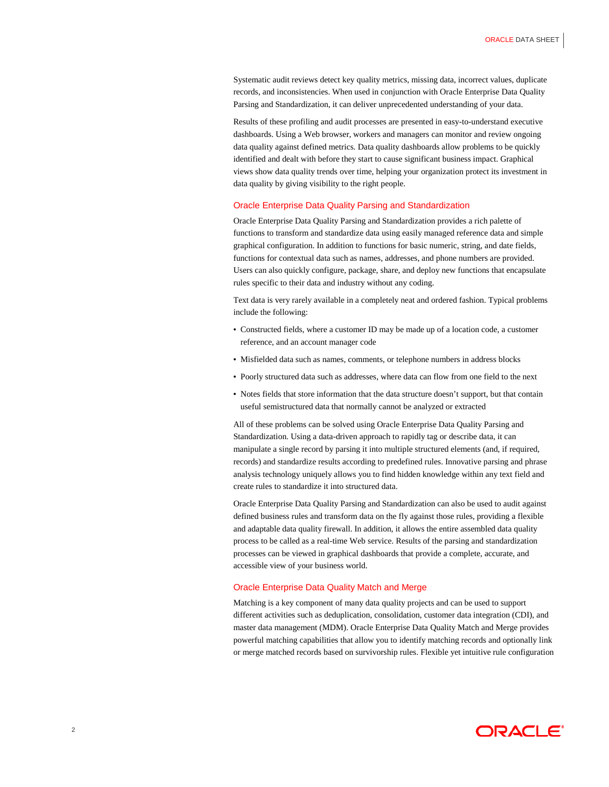Systematic audit reviews detect key quality metrics, missing data, incorrect values, duplicate records, and inconsistencies. When used in conjunction with Oracle Enterprise Data Quality Parsing and Standardization, it can deliver unprecedented understanding of your data.

Results of these profiling and audit processes are presented in easy-to-understand executive dashboards. Using a Web browser, workers and managers can monitor and review ongoing data quality against defined metrics. Data quality dashboards allow problems to be quickly identified and dealt with before they start to cause significant business impact. Graphical views show data quality trends over time, helping your organization protect its investment in data quality by giving visibility to the right people.

#### Oracle Enterprise Data Quality Parsing and Standardization

Oracle Enterprise Data Quality Parsing and Standardization provides a rich palette of functions to transform and standardize data using easily managed reference data and simple graphical configuration. In addition to functions for basic numeric, string, and date fields, functions for contextual data such as names, addresses, and phone numbers are provided. Users can also quickly configure, package, share, and deploy new functions that encapsulate rules specific to their data and industry without any coding.

Text data is very rarely available in a completely neat and ordered fashion. Typical problems include the following:

- Constructed fields, where a customer ID may be made up of a location code, a customer reference, and an account manager code
- Misfielded data such as names, comments, or telephone numbers in address blocks
- Poorly structured data such as addresses, where data can flow from one field to the next
- Notes fields that store information that the data structure doesn't support, but that contain useful semistructured data that normally cannot be analyzed or extracted

All of these problems can be solved using Oracle Enterprise Data Quality Parsing and Standardization. Using a data-driven approach to rapidly tag or describe data, it can manipulate a single record by parsing it into multiple structured elements (and, if required, records) and standardize results according to predefined rules. Innovative parsing and phrase analysis technology uniquely allows you to find hidden knowledge within any text field and create rules to standardize it into structured data.

Oracle Enterprise Data Quality Parsing and Standardization can also be used to audit against defined business rules and transform data on the fly against those rules, providing a flexible and adaptable data quality firewall. In addition, it allows the entire assembled data quality process to be called as a real-time Web service. Results of the parsing and standardization processes can be viewed in graphical dashboards that provide a complete, accurate, and accessible view of your business world.

## Oracle Enterprise Data Quality Match and Merge

Matching is a key component of many data quality projects and can be used to support different activities such as deduplication, consolidation, customer data integration (CDI), and master data management (MDM). Oracle Enterprise Data Quality Match and Merge provides powerful matching capabilities that allow you to identify matching records and optionally link or merge matched records based on survivorship rules. Flexible yet intuitive rule configuration

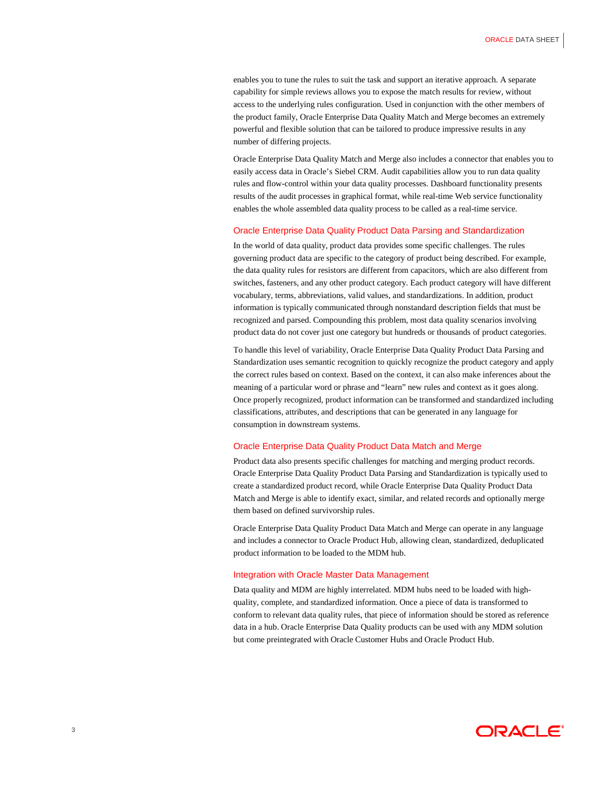enables you to tune the rules to suit the task and support an iterative approach. A separate capability for simple reviews allows you to expose the match results for review, without access to the underlying rules configuration. Used in conjunction with the other members of the product family, Oracle Enterprise Data Quality Match and Merge becomes an extremely powerful and flexible solution that can be tailored to produce impressive results in any number of differing projects.

Oracle Enterprise Data Quality Match and Merge also includes a connector that enables you to easily access data in Oracle's Siebel CRM. Audit capabilities allow you to run data quality rules and flow-control within your data quality processes. Dashboard functionality presents results of the audit processes in graphical format, while real-time Web service functionality enables the whole assembled data quality process to be called as a real-time service.

## Oracle Enterprise Data Quality Product Data Parsing and Standardization

In the world of data quality, product data provides some specific challenges. The rules governing product data are specific to the category of product being described. For example, the data quality rules for resistors are different from capacitors, which are also different from switches, fasteners, and any other product category. Each product category will have different vocabulary, terms, abbreviations, valid values, and standardizations. In addition, product information is typically communicated through nonstandard description fields that must be recognized and parsed. Compounding this problem, most data quality scenarios involving product data do not cover just one category but hundreds or thousands of product categories.

To handle this level of variability, Oracle Enterprise Data Quality Product Data Parsing and Standardization uses semantic recognition to quickly recognize the product category and apply the correct rules based on context. Based on the context, it can also make inferences about the meaning of a particular word or phrase and "learn" new rules and context as it goes along. Once properly recognized, product information can be transformed and standardized including classifications, attributes, and descriptions that can be generated in any language for consumption in downstream systems.

#### Oracle Enterprise Data Quality Product Data Match and Merge

Product data also presents specific challenges for matching and merging product records. Oracle Enterprise Data Quality Product Data Parsing and Standardization is typically used to create a standardized product record, while Oracle Enterprise Data Quality Product Data Match and Merge is able to identify exact, similar, and related records and optionally merge them based on defined survivorship rules.

Oracle Enterprise Data Quality Product Data Match and Merge can operate in any language and includes a connector to Oracle Product Hub, allowing clean, standardized, deduplicated product information to be loaded to the MDM hub.

# Integration with Oracle Master Data Management

Data quality and MDM are highly interrelated. MDM hubs need to be loaded with highquality, complete, and standardized information. Once a piece of data is transformed to conform to relevant data quality rules, that piece of information should be stored as reference data in a hub. Oracle Enterprise Data Quality products can be used with any MDM solution but come preintegrated with Oracle Customer Hubs and Oracle Product Hub.